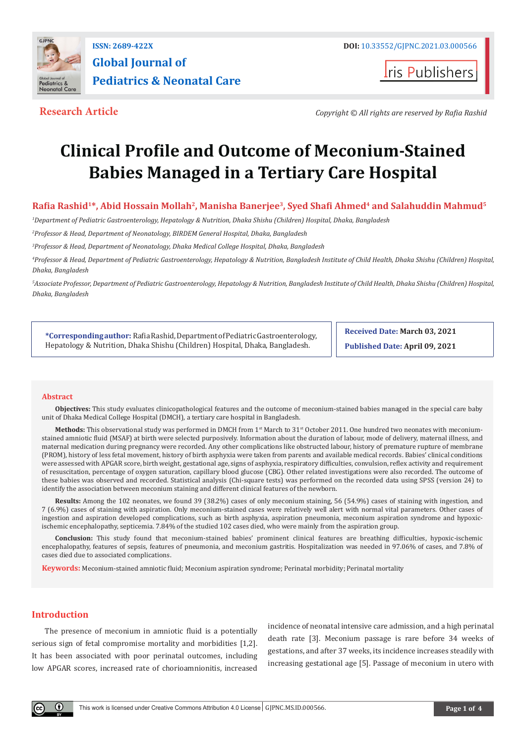

**Iris Publishers** 

**Research Article** *Copyright © All rights are reserved by Rafia Rashid*

# **Clinical Profile and Outcome of Meconium-Stained Babies Managed in a Tertiary Care Hospital**

# **Rafia Rashid<sup>1</sup>\*, Abid Hossain Mollah<sup>2</sup>, Manisha Banerjee<sup>3</sup>, Syed Shafi Ahmed<sup>4</sup> and Salahuddin Mahmud<sup>5</sup>**

*1 Department of Pediatric Gastroenterology, Hepatology & Nutrition, Dhaka Shishu (Children) Hospital, Dhaka, Bangladesh*

*2 Professor & Head, Department of Neonatology, BIRDEM General Hospital, Dhaka, Bangladesh*

*3 Professor & Head, Department of Neonatology, Dhaka Medical College Hospital, Dhaka, Bangladesh*

*4 Professor & Head, Department of Pediatric Gastroenterology, Hepatology & Nutrition, Bangladesh Institute of Child Health, Dhaka Shishu (Children) Hospital, Dhaka, Bangladesh*

*5 Associate Professor, Department of Pediatric Gastroenterology, Hepatology & Nutrition, Bangladesh Institute of Child Health, Dhaka Shishu (Children) Hospital, Dhaka, Bangladesh*

**\*Corresponding author:** Rafia Rashid, Department of Pediatric Gastroenterology, Hepatology & Nutrition, Dhaka Shishu (Children) Hospital, Dhaka, Bangladesh.

**Received Date: March 03, 2021**

**Published Date: April 09, 2021**

#### **Abstract**

**Objectives:** This study evaluates clinicopathological features and the outcome of meconium-stained babies managed in the special care baby unit of Dhaka Medical College Hospital (DMCH), a tertiary care hospital in Bangladesh.

Methods: This observational study was performed in DMCH from 1<sup>st</sup> March to 31<sup>st</sup> October 2011. One hundred two neonates with meconiumstained amniotic fluid (MSAF) at birth were selected purposively. Information about the duration of labour, mode of delivery, maternal illness, and maternal medication during pregnancy were recorded. Any other complications like obstructed labour, history of premature rupture of membrane (PROM), history of less fetal movement, history of birth asphyxia were taken from parents and available medical records. Babies' clinical conditions were assessed with APGAR score, birth weight, gestational age, signs of asphyxia, respiratory difficulties, convulsion, reflex activity and requirement of resuscitation, percentage of oxygen saturation, capillary blood glucose (CBG). Other related investigations were also recorded. The outcome of these babies was observed and recorded. Statistical analysis (Chi-square tests) was performed on the recorded data using SPSS (version 24) to identify the association between meconium staining and different clinical features of the newborn.

**Results:** Among the 102 neonates, we found 39 (38.2%) cases of only meconium staining, 56 (54.9%) cases of staining with ingestion, and 7 (6.9%) cases of staining with aspiration. Only meconium-stained cases were relatively well alert with normal vital parameters. Other cases of ingestion and aspiration developed complications, such as birth asphyxia, aspiration pneumonia, meconium aspiration syndrome and hypoxicischemic encephalopathy, septicemia. 7.84% of the studied 102 cases died, who were mainly from the aspiration group.

**Conclusion:** This study found that meconium-stained babies' prominent clinical features are breathing difficulties, hypoxic-ischemic encephalopathy, features of sepsis, features of pneumonia, and meconium gastritis. Hospitalization was needed in 97.06% of cases, and 7.8% of cases died due to associated complications.

**Keywords:** Meconium-stained amniotic fluid; Meconium aspiration syndrome; Perinatal morbidity; Perinatal mortality

# **Introduction**

The presence of meconium in amniotic fluid is a potentially serious sign of fetal compromise mortality and morbidities [1,2]. It has been associated with poor perinatal outcomes, including low APGAR scores, increased rate of chorioamnionitis, increased

incidence of neonatal intensive care admission, and a high perinatal death rate [3]. Meconium passage is rare before 34 weeks of gestations, and after 37 weeks, its incidence increases steadily with increasing gestational age [5]. Passage of meconium in utero with

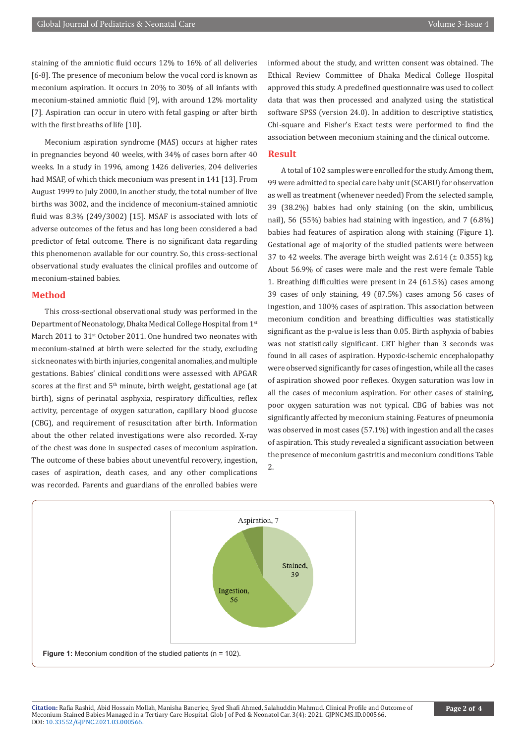staining of the amniotic fluid occurs 12% to 16% of all deliveries [6-8]. The presence of meconium below the vocal cord is known as meconium aspiration. It occurs in 20% to 30% of all infants with meconium-stained amniotic fluid [9], with around 12% mortality [7]. Aspiration can occur in utero with fetal gasping or after birth with the first breaths of life [10].

Meconium aspiration syndrome (MAS) occurs at higher rates in pregnancies beyond 40 weeks, with 34% of cases born after 40 weeks. In a study in 1996, among 1426 deliveries, 204 deliveries had MSAF, of which thick meconium was present in 141 [13]. From August 1999 to July 2000, in another study, the total number of live births was 3002, and the incidence of meconium-stained amniotic fluid was 8.3% (249/3002) [15]. MSAF is associated with lots of adverse outcomes of the fetus and has long been considered a bad predictor of fetal outcome. There is no significant data regarding this phenomenon available for our country. So, this cross-sectional observational study evaluates the clinical profiles and outcome of meconium-stained babies.

# **Method**

This cross-sectional observational study was performed in the Department of Neonatology, Dhaka Medical College Hospital from 1st March 2011 to 31<sup>st</sup> October 2011. One hundred two neonates with meconium-stained at birth were selected for the study, excluding sick neonates with birth injuries, congenital anomalies, and multiple gestations. Babies' clinical conditions were assessed with APGAR scores at the first and 5<sup>th</sup> minute, birth weight, gestational age (at birth), signs of perinatal asphyxia, respiratory difficulties, reflex activity, percentage of oxygen saturation, capillary blood glucose (CBG), and requirement of resuscitation after birth. Information about the other related investigations were also recorded. X-ray of the chest was done in suspected cases of meconium aspiration. The outcome of these babies about uneventful recovery, ingestion, cases of aspiration, death cases, and any other complications was recorded. Parents and guardians of the enrolled babies were

informed about the study, and written consent was obtained. The Ethical Review Committee of Dhaka Medical College Hospital approved this study. A predefined questionnaire was used to collect data that was then processed and analyzed using the statistical software SPSS (version 24.0). In addition to descriptive statistics, Chi-square and Fisher's Exact tests were performed to find the association between meconium staining and the clinical outcome.

#### **Result**

A total of 102 samples were enrolled for the study. Among them, 99 were admitted to special care baby unit (SCABU) for observation as well as treatment (whenever needed) From the selected sample, 39 (38.2%) babies had only staining (on the skin, umbilicus, nail), 56 (55%) babies had staining with ingestion, and 7 (6.8%) babies had features of aspiration along with staining (Figure 1). Gestational age of majority of the studied patients were between 37 to 42 weeks. The average birth weight was  $2.614$  ( $\pm$  0.355) kg. About 56.9% of cases were male and the rest were female Table 1. Breathing difficulties were present in 24 (61.5%) cases among 39 cases of only staining, 49 (87.5%) cases among 56 cases of ingestion, and 100% cases of aspiration. This association between meconium condition and breathing difficulties was statistically significant as the p-value is less than 0.05. Birth asphyxia of babies was not statistically significant. CRT higher than 3 seconds was found in all cases of aspiration. Hypoxic-ischemic encephalopathy were observed significantly for cases of ingestion, while all the cases of aspiration showed poor reflexes. Oxygen saturation was low in all the cases of meconium aspiration. For other cases of staining, poor oxygen saturation was not typical. CBG of babies was not significantly affected by meconium staining. Features of pneumonia was observed in most cases (57.1%) with ingestion and all the cases of aspiration. This study revealed a significant association between the presence of meconium gastritis and meconium conditions Table 2.

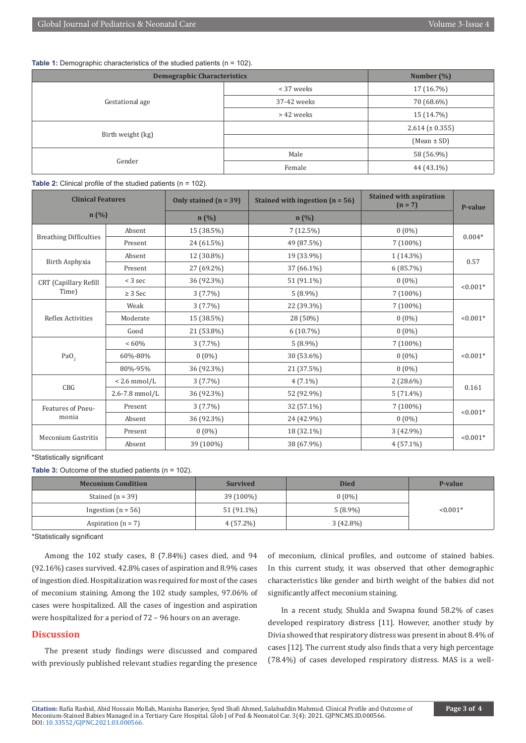**Table 1:** Demographic characteristics of the studied patients (n = 102).

| <b>Demographic Characteristics</b> |             | Number (%)          |
|------------------------------------|-------------|---------------------|
| Gestational age                    | < 37 weeks  | 17 (16.7%)          |
|                                    | 37-42 weeks | 70 (68.6%)          |
|                                    | > 42 weeks  | 15 (14.7%)          |
| Birth weight (kg)                  |             | $2.614 (\pm 0.355)$ |
|                                    |             | $(Mean \pm SD)$     |
|                                    | Male        | 58 (56.9%)          |
| Gender                             | Female      | 44 (43.1%)          |

#### **Table 2:** Clinical profile of the studied patients (n = 102).

| <b>Clinical Features</b>              |                                    | Only stained $(n = 39)$ | Stained with ingestion $(n = 56)$ | <b>Stained with aspiration</b><br>$(n = 7)$ | P-value    |
|---------------------------------------|------------------------------------|-------------------------|-----------------------------------|---------------------------------------------|------------|
| n(%)                                  |                                    | n(%)                    | $n(\%)$                           |                                             |            |
| <b>Breathing Difficulties</b>         | Absent                             | 15 (38.5%)              | $7(12.5\%)$                       | $0(0\%)$                                    | $0.004*$   |
|                                       | Present                            | 24 (61.5%)              | 49 (87.5%)                        | $7(100\%)$                                  |            |
|                                       | 19 (33.9%)<br>Absent<br>12 (30.8%) | $1(14.3\%)$             | 0.57                              |                                             |            |
| Birth Asphyxia                        | Present                            | 27 (69.2%)              | 37 (66.1%)                        | 6(85.7%)                                    |            |
| <b>CRT</b> (Capillary Refill<br>Time) | $<$ 3 sec                          | 36 (92.3%)              | 51 (91.1%)                        | $0(0\%)$                                    | $< 0.001*$ |
|                                       | $\geq$ 3 Sec                       | $3(7.7\%)$              | $5(8.9\%)$                        | 7 (100%)                                    |            |
| Reflex Activities                     | Weak                               | $3(7.7\%)$              | 22 (39.3%)                        | $7(100\%)$                                  | $< 0.001*$ |
|                                       | Moderate                           | 15 (38.5%)              | 28 (50%)                          | $0(0\%)$                                    |            |
|                                       | Good                               | 21 (53.8%)              | $6(10.7\%)$                       | $0(0\%)$                                    |            |
|                                       | $<60\%$                            | 3(7.7%)                 | $5(8.9\%)$                        | $7(100\%)$                                  |            |
| PaO <sub>2</sub>                      | 60%-80%                            | $0(0\%)$                | 30 (53.6%)                        | $0(0\%)$                                    | $< 0.001*$ |
|                                       | 80%-95%                            | 36 (92.3%)              | 21 (37.5%)                        | $0(0\%)$                                    |            |
| CBG                                   | $< 2.6$ mmol/L                     | $3(7.7\%)$              | $4(7.1\%)$                        | $2(28.6\%)$                                 | 0.161      |
|                                       | 2.6-7.8 mmol/L                     | 36 (92.3%)              | 52 (92.9%)                        | $5(71.4\%)$                                 |            |
| Features of Pneu-<br>monia            | Present                            | $3(7.7\%)$              | 32 (57.1%)                        | $7(100\%)$                                  | $< 0.001*$ |
|                                       | Absent                             | 36 (92.3%)              | 24 (42.9%)                        | $0(0\%)$                                    |            |
| Meconium Gastritis                    | Present                            | $0(0\%)$                | 18 (32.1%)                        | 3 (42.9%)                                   | $< 0.001*$ |
|                                       | Absent                             | 39 (100%)               | 38 (67.9%)                        | $4(57.1\%)$                                 |            |

\*Statistically significant

**Table 3:** Outcome of the studied patients (n = 102).

| <b>Meconium Condition</b> | <b>Survived</b> | <b>Died</b> | P-value    |
|---------------------------|-----------------|-------------|------------|
| Stained $(n = 39)$        | 39 (100%)       | $0(0\%)$    |            |
| Ingestion $(n = 56)$      | 51 (91.1%)      | $5(8.9\%)$  | $< 0.001*$ |
| Aspiration $(n = 7)$      | $4(57.2\%)$     | $3(42.8\%)$ |            |

\*Statistically significant

Among the 102 study cases, 8 (7.84%) cases died, and 94 (92.16%) cases survived. 42.8% cases of aspiration and 8.9% cases of ingestion died. Hospitalization was required for most of the cases of meconium staining. Among the 102 study samples, 97.06% of cases were hospitalized. All the cases of ingestion and aspiration were hospitalized for a period of 72 – 96 hours on an average.

## **Discussion**

The present study findings were discussed and compared with previously published relevant studies regarding the presence

of meconium, clinical profiles, and outcome of stained babies. In this current study, it was observed that other demographic characteristics like gender and birth weight of the babies did not significantly affect meconium staining.

In a recent study, Shukla and Swapna found 58.2% of cases developed respiratory distress [11]. However, another study by Divia showed that respiratory distress was present in about 8.4% of cases [12]. The current study also finds that a very high percentage (78.4%) of cases developed respiratory distress. MAS is a well